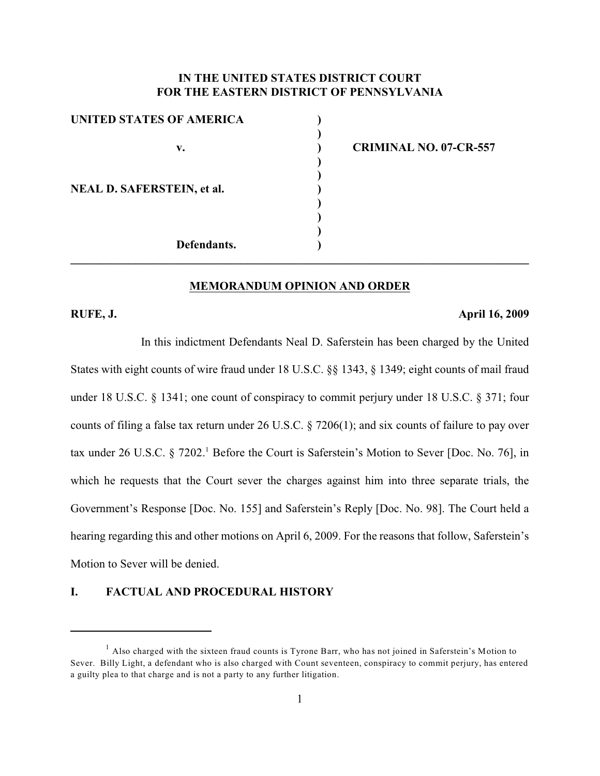### **IN THE UNITED STATES DISTRICT COURT FOR THE EASTERN DISTRICT OF PENNSYLVANIA**

| <b>UNITED STATES OF AMERICA</b>   |                               |
|-----------------------------------|-------------------------------|
|                                   |                               |
| v.                                | <b>CRIMINAL NO. 07-CR-557</b> |
|                                   |                               |
|                                   |                               |
| <b>NEAL D. SAFERSTEIN, et al.</b> |                               |
|                                   |                               |
|                                   |                               |
|                                   |                               |
| Defendants.                       |                               |
|                                   |                               |

### **MEMORANDUM OPINION AND ORDER**

### **RUFE, J. April 16, 2009**

In this indictment Defendants Neal D. Saferstein has been charged by the United States with eight counts of wire fraud under 18 U.S.C. §§ 1343, § 1349; eight counts of mail fraud under 18 U.S.C. § 1341; one count of conspiracy to commit perjury under 18 U.S.C. § 371; four counts of filing a false tax return under 26 U.S.C. § 7206(1); and six counts of failure to pay over tax under 26 U.S.C. § 7202.<sup>1</sup> Before the Court is Saferstein's Motion to Sever [Doc. No. 76], in which he requests that the Court sever the charges against him into three separate trials, the Government's Response [Doc. No. 155] and Saferstein's Reply [Doc. No. 98]. The Court held a hearing regarding this and other motions on April 6, 2009. For the reasons that follow, Saferstein's Motion to Sever will be denied.

### **I. FACTUAL AND PROCEDURAL HISTORY**

 $<sup>1</sup>$  Also charged with the sixteen fraud counts is Tyrone Barr, who has not joined in Saferstein's Motion to</sup> Sever. Billy Light, a defendant who is also charged with Count seventeen, conspiracy to commit perjury, has entered a guilty plea to that charge and is not a party to any further litigation.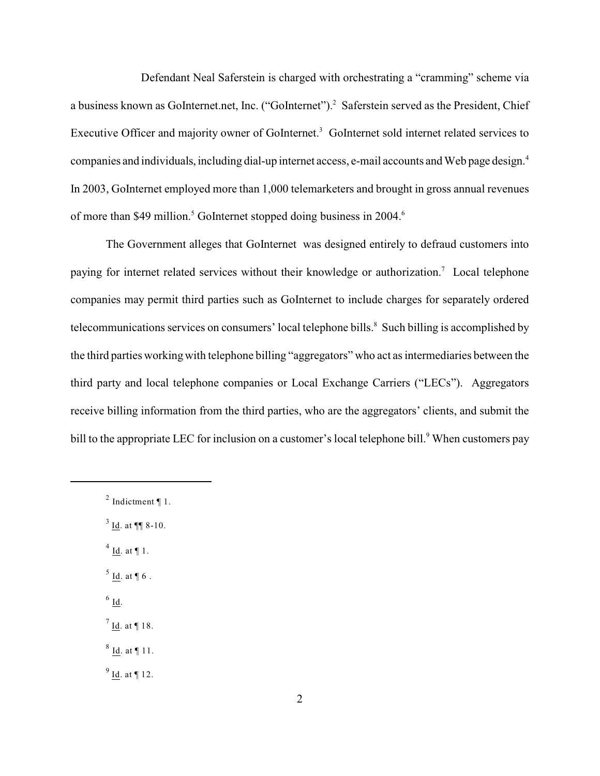Defendant Neal Saferstein is charged with orchestrating a "cramming" scheme via a business known as GoInternet.net, Inc. ("GoInternet").<sup>2</sup> Saferstein served as the President, Chief Executive Officer and majority owner of GoInternet.<sup>3</sup> GoInternet sold internet related services to companies and individuals, including dial-up internet access, e-mail accounts and Web page design.<sup>4</sup> In 2003, GoInternet employed more than 1,000 telemarketers and brought in gross annual revenues of more than \$49 million.<sup>5</sup> GoInternet stopped doing business in 2004.<sup>6</sup>

The Government alleges that GoInternet was designed entirely to defraud customers into paying for internet related services without their knowledge or authorization.<sup>7</sup> Local telephone companies may permit third parties such as GoInternet to include charges for separately ordered telecommunications services on consumers' local telephone bills. $\delta$  Such billing is accomplished by the third parties working with telephone billing "aggregators" who act as intermediaries between the third party and local telephone companies or Local Exchange Carriers ("LECs"). Aggregators receive billing information from the third parties, who are the aggregators' clients, and submit the bill to the appropriate LEC for inclusion on a customer's local telephone bill.<sup>9</sup> When customers pay

 $3$  Id. at ¶¶ 8-10.

 $<sup>4</sup>$  Id. at ¶ 1.</sup>

 $<sup>5</sup>$  Id. at ¶ 6.</sup>

- $6$  Id.
- $^7$  Id. at ¶ 18.

 $8$  Id. at ¶ 11.

 $9$  Id. at ¶ 12.

<sup>&</sup>lt;sup>2</sup> Indictment ¶ 1.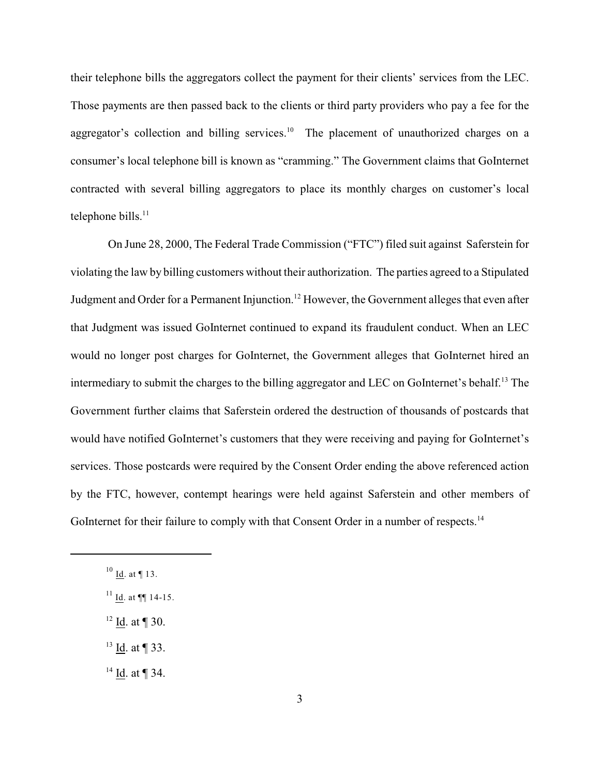their telephone bills the aggregators collect the payment for their clients' services from the LEC. Those payments are then passed back to the clients or third party providers who pay a fee for the aggregator's collection and billing services.<sup>10</sup> The placement of unauthorized charges on a consumer's local telephone bill is known as "cramming." The Government claims that GoInternet contracted with several billing aggregators to place its monthly charges on customer's local telephone bills. $11$ 

 On June 28, 2000, The Federal Trade Commission ("FTC") filed suit against Saferstein for violating the law by billing customers without their authorization. The parties agreed to a Stipulated Judgment and Order for a Permanent Injunction.<sup>12</sup> However, the Government alleges that even after that Judgment was issued GoInternet continued to expand its fraudulent conduct. When an LEC would no longer post charges for GoInternet, the Government alleges that GoInternet hired an intermediary to submit the charges to the billing aggregator and LEC on GoInternet's behalf.<sup>13</sup> The Government further claims that Saferstein ordered the destruction of thousands of postcards that would have notified GoInternet's customers that they were receiving and paying for GoInternet's services. Those postcards were required by the Consent Order ending the above referenced action by the FTC, however, contempt hearings were held against Saferstein and other members of GoInternet for their failure to comply with that Consent Order in a number of respects.<sup>14</sup>

- $12$  Id. at ¶ 30.
- $^{13}$  Id. at ¶ 33.
- $14$  Id. at ¶ 34.

 $^{10}$  Id. at ¶ 13.

 $11$  Id. at  $\P\P$  14-15.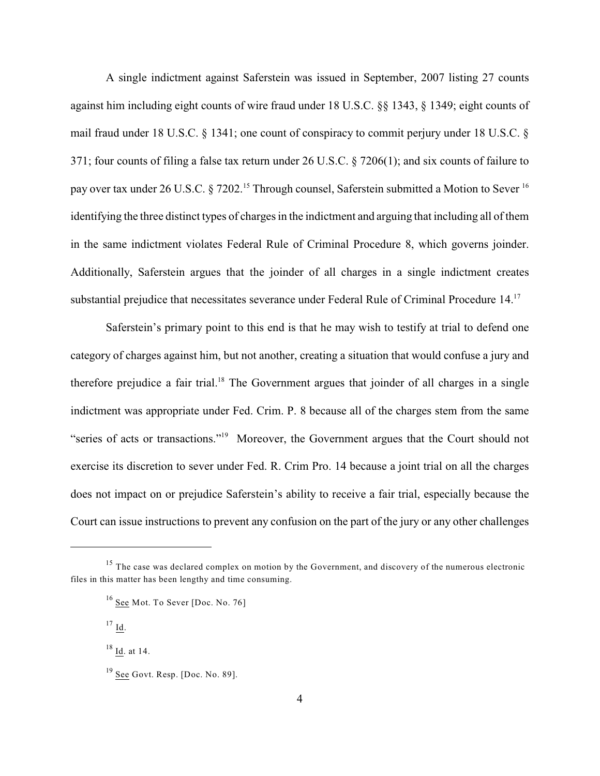A single indictment against Saferstein was issued in September, 2007 listing 27 counts against him including eight counts of wire fraud under 18 U.S.C. §§ 1343, § 1349; eight counts of mail fraud under 18 U.S.C. § 1341; one count of conspiracy to commit perjury under 18 U.S.C. § 371; four counts of filing a false tax return under 26 U.S.C. § 7206(1); and six counts of failure to pay over tax under 26 U.S.C. § 7202.<sup>15</sup> Through counsel, Saferstein submitted a Motion to Sever <sup>16</sup> identifying the three distinct types of charges in the indictment and arguing that including all of them in the same indictment violates Federal Rule of Criminal Procedure 8, which governs joinder. Additionally, Saferstein argues that the joinder of all charges in a single indictment creates substantial prejudice that necessitates severance under Federal Rule of Criminal Procedure 14.<sup>17</sup>

Saferstein's primary point to this end is that he may wish to testify at trial to defend one category of charges against him, but not another, creating a situation that would confuse a jury and therefore prejudice a fair trial.<sup>18</sup> The Government argues that joinder of all charges in a single indictment was appropriate under Fed. Crim. P. 8 because all of the charges stem from the same "series of acts or transactions."<sup>19</sup> Moreover, the Government argues that the Court should not exercise its discretion to sever under Fed. R. Crim Pro. 14 because a joint trial on all the charges does not impact on or prejudice Saferstein's ability to receive a fair trial, especially because the Court can issue instructions to prevent any confusion on the part of the jury or any other challenges

 $^{17}$  Id.

 $18 \underline{Id}$ . at 14.

 $15$  The case was declared complex on motion by the Government, and discovery of the numerous electronic files in this matter has been lengthy and time consuming.

 $16$  See Mot. To Sever [Doc. No. 76]

 $19$  See Govt. Resp. [Doc. No. 89].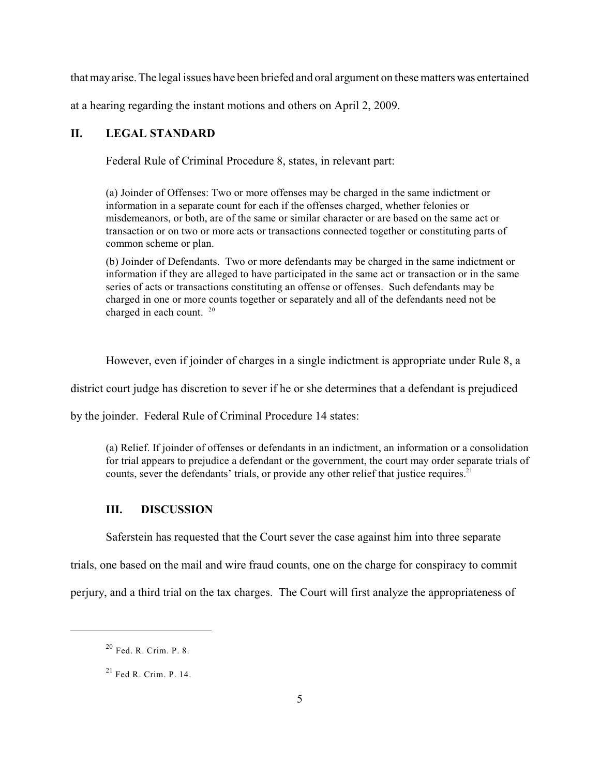that may arise. The legal issues have been briefed and oral argument on these matters was entertained

at a hearing regarding the instant motions and others on April 2, 2009.

### **II. LEGAL STANDARD**

Federal Rule of Criminal Procedure 8, states, in relevant part:

(a) Joinder of Offenses: Two or more offenses may be charged in the same indictment or information in a separate count for each if the offenses charged, whether felonies or misdemeanors, or both, are of the same or similar character or are based on the same act or transaction or on two or more acts or transactions connected together or constituting parts of common scheme or plan.

(b) Joinder of Defendants. Two or more defendants may be charged in the same indictment or information if they are alleged to have participated in the same act or transaction or in the same series of acts or transactions constituting an offense or offenses. Such defendants may be charged in one or more counts together or separately and all of the defendants need not be charged in each count. <sup>20</sup>

However, even if joinder of charges in a single indictment is appropriate under Rule 8, a

district court judge has discretion to sever if he or she determines that a defendant is prejudiced

by the joinder. Federal Rule of Criminal Procedure 14 states:

(a) Relief. If joinder of offenses or defendants in an indictment, an information or a consolidation for trial appears to prejudice a defendant or the government, the court may order separate trials of counts, sever the defendants' trials, or provide any other relief that justice requires. $21$ 

### **III. DISCUSSION**

Saferstein has requested that the Court sever the case against him into three separate

trials, one based on the mail and wire fraud counts, one on the charge for conspiracy to commit

perjury, and a third trial on the tax charges. The Court will first analyze the appropriateness of

 $20$  Fed. R. Crim. P. 8.

 $21$  Fed R. Crim. P. 14.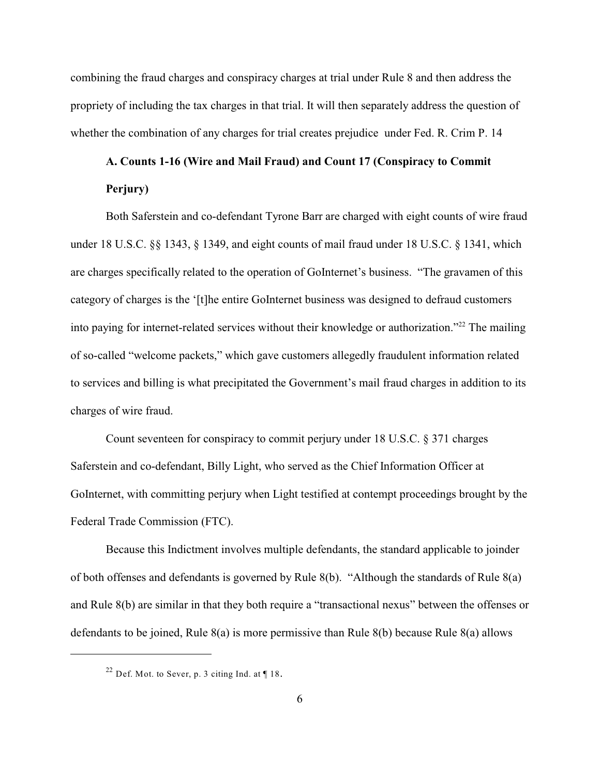combining the fraud charges and conspiracy charges at trial under Rule 8 and then address the propriety of including the tax charges in that trial. It will then separately address the question of whether the combination of any charges for trial creates prejudice under Fed. R. Crim P. 14

# **A. Counts 1-16 (Wire and Mail Fraud) and Count 17 (Conspiracy to Commit Perjury)**

Both Saferstein and co-defendant Tyrone Barr are charged with eight counts of wire fraud under 18 U.S.C. §§ 1343, § 1349, and eight counts of mail fraud under 18 U.S.C. § 1341, which are charges specifically related to the operation of GoInternet's business. "The gravamen of this category of charges is the '[t]he entire GoInternet business was designed to defraud customers into paying for internet-related services without their knowledge or authorization."<sup> $22$ </sup> The mailing of so-called "welcome packets," which gave customers allegedly fraudulent information related to services and billing is what precipitated the Government's mail fraud charges in addition to its charges of wire fraud.

Count seventeen for conspiracy to commit perjury under 18 U.S.C. § 371 charges Saferstein and co-defendant, Billy Light, who served as the Chief Information Officer at GoInternet, with committing perjury when Light testified at contempt proceedings brought by the Federal Trade Commission (FTC).

Because this Indictment involves multiple defendants, the standard applicable to joinder of both offenses and defendants is governed by Rule 8(b). "Although the standards of Rule 8(a) and Rule 8(b) are similar in that they both require a "transactional nexus" between the offenses or defendants to be joined, Rule 8(a) is more permissive than Rule 8(b) because Rule 8(a) allows

<sup>&</sup>lt;sup>22</sup> Def. Mot. to Sever, p. 3 citing Ind. at  $\P$  18.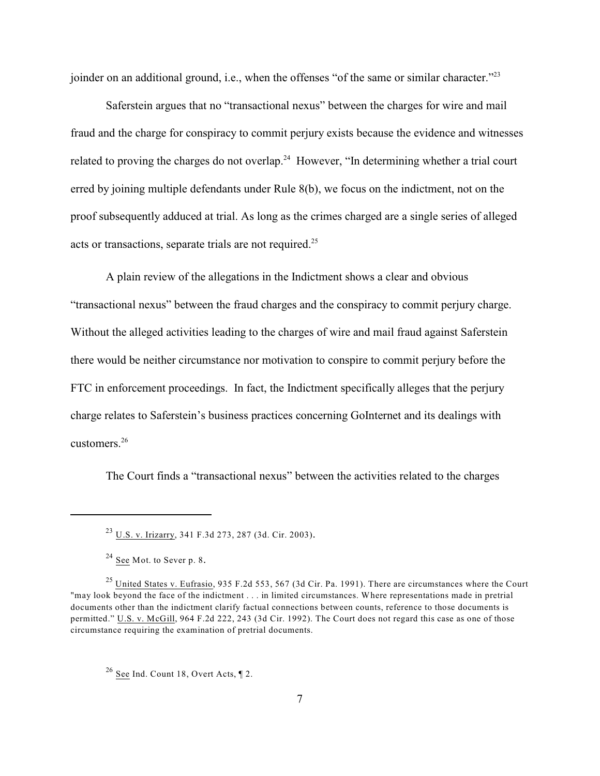joinder on an additional ground, i.e., when the offenses "of the same or similar character."<sup>23</sup>

Saferstein argues that no "transactional nexus" between the charges for wire and mail fraud and the charge for conspiracy to commit perjury exists because the evidence and witnesses related to proving the charges do not overlap.<sup>24</sup> However, "In determining whether a trial court erred by joining multiple defendants under Rule 8(b), we focus on the indictment, not on the proof subsequently adduced at trial. As long as the crimes charged are a single series of alleged acts or transactions, separate trials are not required.<sup>25</sup>

A plain review of the allegations in the Indictment shows a clear and obvious "transactional nexus" between the fraud charges and the conspiracy to commit perjury charge. Without the alleged activities leading to the charges of wire and mail fraud against Saferstein there would be neither circumstance nor motivation to conspire to commit perjury before the FTC in enforcement proceedings. In fact, the Indictment specifically alleges that the perjury charge relates to Saferstein's business practices concerning GoInternet and its dealings with customers. 26

The Court finds a "transactional nexus" between the activities related to the charges

<sup>&</sup>lt;sup>23</sup> U.S. v. Irizarry, 341 F.3d 273, 287 (3d. Cir. 2003).

 $2^4$  See Mot. to Sever p. 8.

<sup>&</sup>lt;sup>25</sup> United States v. Eufrasio, 935 F.2d 553, 567 (3d Cir. Pa. 1991). There are circumstances where the Court "may look beyond the face of the indictment . . . in limited circumstances. Where representations made in pretrial documents other than the indictment clarify factual connections between counts, reference to those documents is permitted." U.S. v. McGill, 964 F.2d 222, 243 (3d Cir. 1992). The Court does not regard this case as one of those circumstance requiring the examination of pretrial documents.

 $26$  See Ind. Count 18, Overt Acts,  $\P$  2.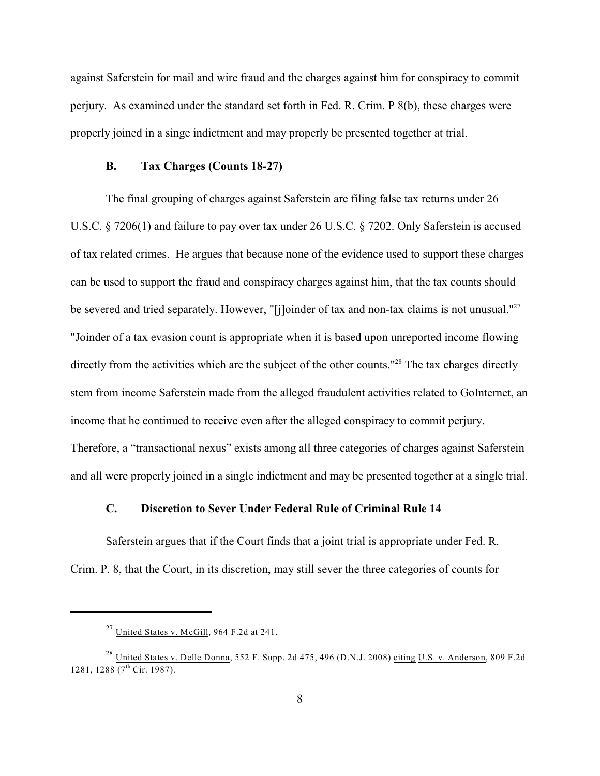against Saferstein for mail and wire fraud and the charges against him for conspiracy to commit perjury. As examined under the standard set forth in Fed. R. Crim. P 8(b), these charges were properly joined in a singe indictment and may properly be presented together at trial.

### **B. Tax Charges (Counts 18-27)**

The final grouping of charges against Saferstein are filing false tax returns under 26 U.S.C. § 7206(1) and failure to pay over tax under 26 U.S.C. § 7202. Only Saferstein is accused of tax related crimes. He argues that because none of the evidence used to support these charges can be used to support the fraud and conspiracy charges against him, that the tax counts should be severed and tried separately. However, "[j]oinder of tax and non-tax claims is not unusual."<sup>27</sup> "Joinder of a tax evasion count is appropriate when it is based upon unreported income flowing directly from the activities which are the subject of the other counts."<sup>28</sup> The tax charges directly stem from income Saferstein made from the alleged fraudulent activities related to GoInternet, an income that he continued to receive even after the alleged conspiracy to commit perjury. Therefore, a "transactional nexus" exists among all three categories of charges against Saferstein and all were properly joined in a single indictment and may be presented together at a single trial.

### **C. Discretion to Sever Under Federal Rule of Criminal Rule 14**

Saferstein argues that if the Court finds that a joint trial is appropriate under Fed. R. Crim. P. 8, that the Court, in its discretion, may still sever the three categories of counts for

 $^{27}$  United States v. McGill, 964 F.2d at 241.

<sup>&</sup>lt;sup>28</sup> United States v. Delle Donna, 552 F. Supp. 2d 475, 496 (D.N.J. 2008) citing U.S. v. Anderson, 809 F.2d 1281, 1288  $(7^{th}$  Cir. 1987).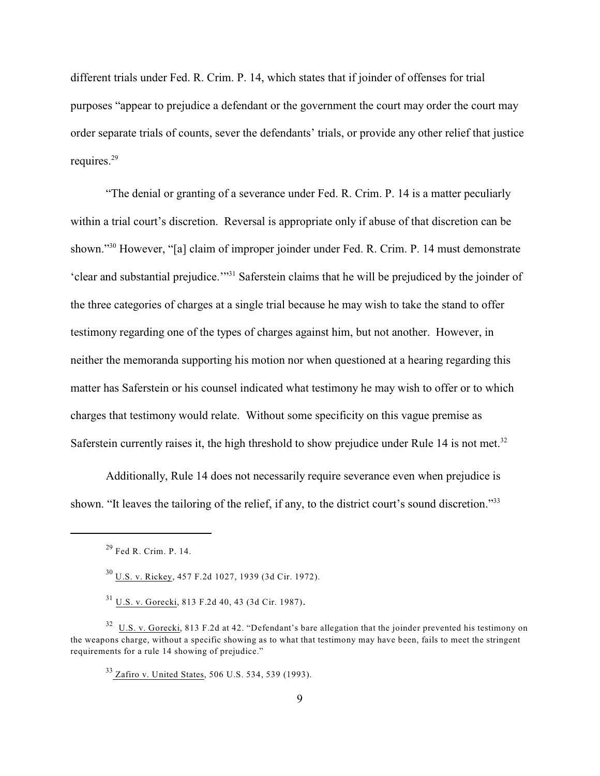different trials under Fed. R. Crim. P. 14, which states that if joinder of offenses for trial purposes "appear to prejudice a defendant or the government the court may order the court may order separate trials of counts, sever the defendants' trials, or provide any other relief that justice requires.<sup>29</sup>

"The denial or granting of a severance under Fed. R. Crim. P. 14 is a matter peculiarly within a trial court's discretion. Reversal is appropriate only if abuse of that discretion can be shown."<sup>30</sup> However, "[a] claim of improper joinder under Fed. R. Crim. P. 14 must demonstrate 'clear and substantial prejudice.'"<sup>31</sup> Saferstein claims that he will be prejudiced by the joinder of the three categories of charges at a single trial because he may wish to take the stand to offer testimony regarding one of the types of charges against him, but not another. However, in neither the memoranda supporting his motion nor when questioned at a hearing regarding this matter has Saferstein or his counsel indicated what testimony he may wish to offer or to which charges that testimony would relate. Without some specificity on this vague premise as Saferstein currently raises it, the high threshold to show prejudice under Rule 14 is not met.<sup>32</sup>

Additionally, Rule 14 does not necessarily require severance even when prejudice is shown. "It leaves the tailoring of the relief, if any, to the district court's sound discretion."33

<sup>31</sup> U.S. v. Gorecki, 813 F.2d 40, 43 (3d Cir. 1987).

 $29$  Fed R. Crim. P. 14.

 $^{30}$  U.S. v. Rickey, 457 F.2d 1027, 1939 (3d Cir. 1972).

 $\frac{32}{10}$  U.S. v. Gorecki, 813 F.2d at 42. "Defendant's bare allegation that the joinder prevented his testimony on the weapons charge, without a specific showing as to what that testimony may have been, fails to meet the stringent requirements for a rule 14 showing of prejudice."

<sup>&</sup>lt;sup>33</sup> Zafiro v. United States, 506 U.S. 534, 539 (1993).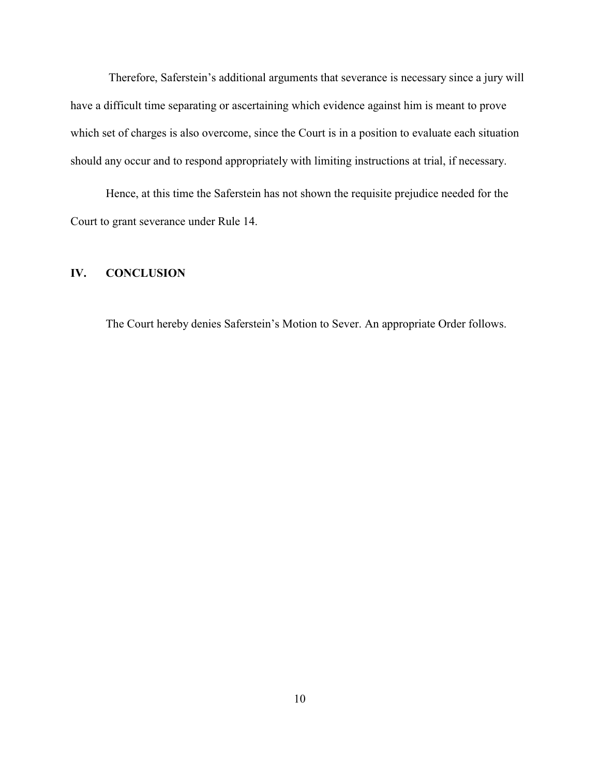Therefore, Saferstein's additional arguments that severance is necessary since a jury will have a difficult time separating or ascertaining which evidence against him is meant to prove which set of charges is also overcome, since the Court is in a position to evaluate each situation should any occur and to respond appropriately with limiting instructions at trial, if necessary.

Hence, at this time the Saferstein has not shown the requisite prejudice needed for the Court to grant severance under Rule 14.

### **IV. CONCLUSION**

The Court hereby denies Saferstein's Motion to Sever. An appropriate Order follows.